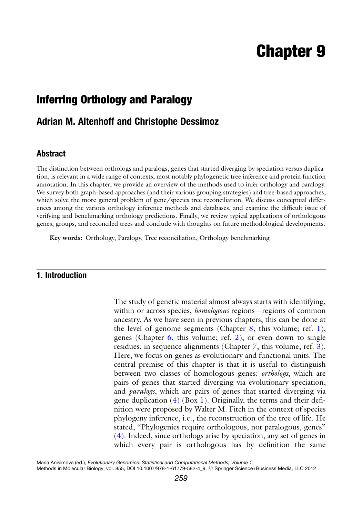# Chapter 9

## Inferring Orthology and Paralogy

## Adrian M. Altenhoff and Christophe Dessimoz

#### Abstract

The distinction between orthologs and paralogs, genes that started diverging by speciation versus duplication, is relevant in a wide range of contexts, most notably phylogenetic tree inference and protein function annotation. In this chapter, we provide an overview of the methods used to infer orthology and paralogy. We survey both graph-based approaches (and their various grouping strategies) and tree-based approaches, which solve the more general problem of gene/species tree reconciliation. We discuss conceptual differences among the various orthology inference methods and databases, and examine the difficult issue of verifying and benchmarking orthology predictions. Finally, we review typical applications of orthologous genes, groups, and reconciled trees and conclude with thoughts on future methodological developments.

Key words: Orthology, Paralogy, Tree reconciliation, Orthology benchmarking

### 1. Introduction

The study of genetic material almost always starts with identifying, within or across species, *homologous* regions—regions of common ancestry. As we have seen in previous chapters, this can be done at the level of genome segments (Chapter  $8$ , this volume; ref. [1\)](#page-17-0), genes (Chapter 6, this volume; ref. [2](#page-17-0)), or even down to single residues, in sequence alignments (Chapter 7, this volume; ref. [3\)](#page-17-0). Here, we focus on genes as evolutionary and functional units. The central premise of this chapter is that it is useful to distinguish between two classes of homologous genes: *orthologs*, which are pairs of genes that started diverging via evolutionary speciation, and *paralogs*, which are pairs of genes that started diverging via gene duplication  $(4)$  $(4)$  (Box 1). Originally, the terms and their definition were proposed by Walter M. Fitch in the context of species phylogeny inference, i.e., the reconstruction of the tree of life. He stated, "Phylogenies require orthologous, not paralogous, genes" ([4\)](#page-17-0). Indeed, since orthologs arise by speciation, any set of genes in which every pair is orthologous has by definition the same

Maria Anisimova (ed.), Evolutionary Genomics: Statistical and Computational Methods, Volume 1,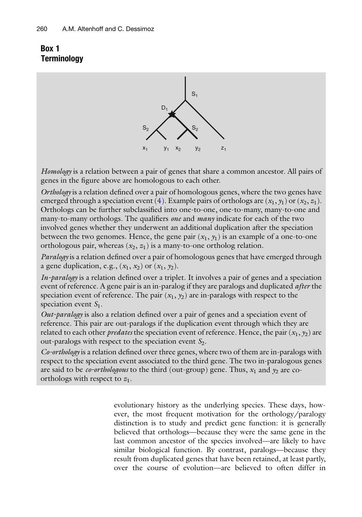## Box 1 **Terminology**



Homology is a relation between a pair of genes that share a common ancestor. All pairs of genes in the figure above are homologous to each other.

Orthology is a relation defined over a pair of homologous genes, where the two genes have emerged through a speciation event ([4\)](#page-17-0). Example pairs of orthologs are  $(x_1, y_1)$  or  $(x_2, z_1)$ . Orthologs can be further subclassified into one-to-one, one-to-many, many-to-one and many-to-many orthologs. The qualifiers *one* and *many* indicate for each of the two involved genes whether they underwent an additional duplication after the speciation between the two genomes. Hence, the gene pair  $(x_1, y_1)$  is an example of a one-to-one orthologous pair, whereas  $(x_2, z_1)$  is a many-to-one ortholog relation.

Paralogy is a relation defined over a pair of homologous genes that have emerged through a gene duplication, e.g.,  $(x_1, x_2)$  or  $(x_1, y_2)$ .

In-paralogy is a relation defined over a triplet. It involves a pair of genes and a speciation event of reference. A gene pair is an in-paralog if they are paralogs and duplicated *after* the speciation event of reference. The pair  $(x_1, y_2)$  are in-paralogs with respect to the speciation event  $S_1$ .

Out-paralogy is also a relation defined over a pair of genes and a speciation event of reference. This pair are out-paralogs if the duplication event through which they are related to each other *predates* the speciation event of reference. Hence, the pair  $(x_1, y_2)$  are out-paralogs with respect to the speciation event  $S_2$ .

Co-orthology is a relation defined over three genes, where two of them are in-paralogs with respect to the speciation event associated to the third gene. The two in-paralogous genes are said to be *co-orthologous* to the third (out-group) gene. Thus,  $x_1$  and  $y_2$  are coorthologs with respect to  $z_1$ .

> evolutionary history as the underlying species. These days, however, the most frequent motivation for the orthology/paralogy distinction is to study and predict gene function: it is generally believed that orthologs—because they were the same gene in the last common ancestor of the species involved—are likely to have similar biological function. By contrast, paralogs—because they result from duplicated genes that have been retained, at least partly, over the course of evolution—are believed to often differ in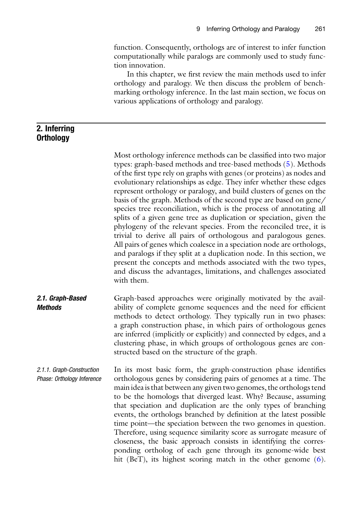function. Consequently, orthologs are of interest to infer function computationally while paralogs are commonly used to study function innovation.

In this chapter, we first review the main methods used to infer orthology and paralogy. We then discuss the problem of benchmarking orthology inference. In the last main section, we focus on various applications of orthology and paralogy.

## 2. Inferring Orthology

Most orthology inference methods can be classified into two major types: graph-based methods and tree-based methods [\(5](#page-17-0)). Methods of the first type rely on graphs with genes (or proteins) as nodes and evolutionary relationships as edge. They infer whether these edges represent orthology or paralogy, and build clusters of genes on the basis of the graph. Methods of the second type are based on gene/ species tree reconciliation, which is the process of annotating all splits of a given gene tree as duplication or speciation, given the phylogeny of the relevant species. From the reconciled tree, it is trivial to derive all pairs of orthologous and paralogous genes. All pairs of genes which coalesce in a speciation node are orthologs, and paralogs if they split at a duplication node. In this section, we present the concepts and methods associated with the two types, and discuss the advantages, limitations, and challenges associated with them.

2.1. Graph-Based **Methods** Graph-based approaches were originally motivated by the availability of complete genome sequences and the need for efficient methods to detect orthology. They typically run in two phases: a graph construction phase, in which pairs of orthologous genes are inferred (implicitly or explicitly) and connected by edges, and a clustering phase, in which groups of orthologous genes are constructed based on the structure of the graph.

2.1.1. Graph-Construction Phase: Orthology Inference In its most basic form, the graph-construction phase identifies orthologous genes by considering pairs of genomes at a time. The main idea is that between any given two genomes, the orthologs tend to be the homologs that diverged least. Why? Because, assuming that speciation and duplication are the only types of branching events, the orthologs branched by definition at the latest possible time point—the speciation between the two genomes in question. Therefore, using sequence similarity score as surrogate measure of closeness, the basic approach consists in identifying the corresponding ortholog of each gene through its genome-wide best hit (BeT), its highest scoring match in the other genome ([6\)](#page-17-0).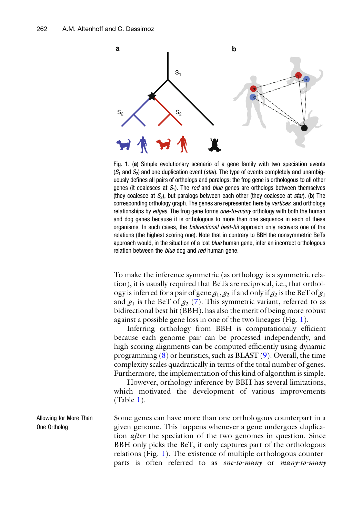<span id="page-3-0"></span>

Fig. 1. (a) Simple evolutionary scenario of a gene family with two speciation events  $(S_1$  and  $S_2$ ) and one duplication event (star). The type of events completely and unambiguously defines all pairs of orthologs and paralogs: the frog gene is orthologous to all other genes (it coalesces at  $S_1$ ). The *red* and *blue* genes are orthologs between themselves (they coalesce at  $S_2$ ), but paralogs between each other (they coalesce at star). (b) The corresponding orthology graph. The genes are represented here by vertices, and orthology relationships by *edges*. The frog gene forms *one-to-many* orthology with both the human and dog genes because it is orthologous to more than one sequence in each of these organisms. In such cases, the *bidirectional best-hit* approach only recovers one of the relations (the highest scoring one). Note that in contrary to BBH the nonsymmetric BeTs approach would, in the situation of a lost *blue* human gene, infer an incorrect orthologous relation between the blue dog and red human gene.

To make the inference symmetric (as orthology is a symmetric relation), it is usually required that BeTs are reciprocal, i.e., that orthology is inferred for a pair of gene  $g_1$ ,  $g_2$  if and only if  $g_2$  is the BeT of  $g_1$ and  $g_1$  is the BeT of  $g_2$  [\(7\)](#page-17-0). This symmetric variant, referred to as bidirectional best hit (BBH), has also the merit of being more robust against a possible gene loss in one of the two lineages (Fig. 1).

Inferring orthology from BBH is computationally efficient because each genome pair can be processed independently, and high-scoring alignments can be computed efficiently using dynamic programming  $(8)$  or heuristics, such as BLAST  $(9)$ . Overall, the time complexity scales quadratically in terms of the total number of genes. Furthermore, the implementation of this kind of algorithm is simple.

However, orthology inference by BBH has several limitations, which motivated the development of various improvements  $(Table 1).$  $(Table 1).$  $(Table 1).$ 

Allowing for More Than One Ortholog Some genes can have more than one orthologous counterpart in a given genome. This happens whenever a gene undergoes duplication after the speciation of the two genomes in question. Since BBH only picks the BeT, it only captures part of the orthologous relations (Fig. 1). The existence of multiple orthologous counterparts is often referred to as one-to-many or many-to-many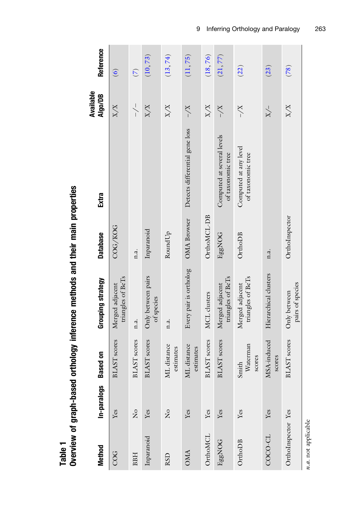| co and thair main nronartiac        |
|-------------------------------------|
| $\frac{1}{2}$                       |
|                                     |
| į                                   |
|                                     |
| informational orthology information |
|                                     |
|                                     |
|                                     |
|                                     |
|                                     |
|                                     |
| .<br>1                              |
|                                     |
|                                     |
|                                     |
| - 1                                 |
|                                     |
|                                     |
|                                     |
|                                     |
|                                     |

<span id="page-4-0"></span>

| <b>Method</b>         | In-paralogs   | $\overline{5}$<br>Based     | Grouping strategy                    | <b>Database</b> | Extra                                           | Available<br><b>Algo/DB</b> | Reference               |
|-----------------------|---------------|-----------------------------|--------------------------------------|-----------------|-------------------------------------------------|-----------------------------|-------------------------|
| COG                   | Yes           | <b>BLAST</b> scores         | triangles of BeTs<br>Merged adjacent | COG/KOG         |                                                 | X/X                         | $\widehat{\mathbf{c}}$  |
| BBH                   | $\frac{1}{2}$ | <b>BLAST</b> scores         | 11.a.                                | 11.a.           |                                                 | $-\bigg\}$                  | $\widehat{\mathcal{L}}$ |
| Inparanoid            | Yes           | <b>BLAST</b> scores         | Only between pairs<br>of species     | Inparanoid      |                                                 | X/X                         | (10, 73)                |
| <b>RSD</b>            | $\frac{1}{2}$ | ML distance<br>estimates    | 11.a.                                | RoundUp         |                                                 | XX                          | (13, 74)                |
| <b>OMA</b>            | Yes           | ML distance<br>estimates    | Every pair is ortholog               | OMA Browser     | Detects differential gene loss                  | $X$ <sup>-</sup>            | (11, 75)                |
| OrthoMCL              | Yes           | <b>BLAST</b> scores         | MCL clusters                         | OrthoMCL-DB     |                                                 | X/X                         | (18, 76)                |
| <b>EggNOG</b>         | Yes           | <b>BLAST</b> scores         | triangles of BeTs<br>Merged adjacent | EggNOG          | Computed at several levels<br>of taxonomic tree | $X^{-}$                     | (21, 77)                |
| <b>OrthoDB</b>        | Yes           | Waterman<br>scores<br>Smith | triangles of BeTs<br>Merged adjacent | <b>OrthoDB</b>  | Computed at any level<br>of taxonomic tree      | $X$ <sup>-</sup>            | (22)                    |
| COCO-CL               | Yes           | MSA-induced<br>scores       | Hierarchical clusters                | n.a.            |                                                 | $X$ /-                      | (23)                    |
| OrthoInspector Yes    |               | <b>BLAST</b> scores         | pairs of species<br>Only between     | OrthoInspector  |                                                 | XX                          | (78)                    |
| $n.a.$ not applicable |               |                             |                                      |                 |                                                 |                             |                         |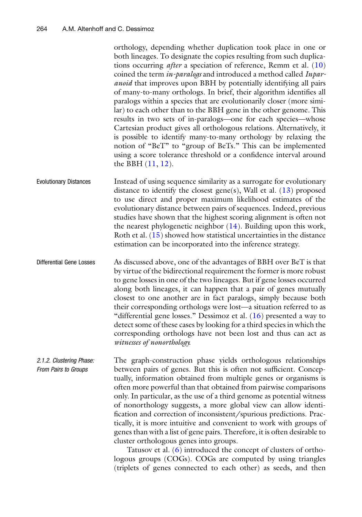|                                                  | orthology, depending whether duplication took place in one or<br>both lineages. To designate the copies resulting from such duplica-<br>tions occurring <i>after</i> a speciation of reference, Remm et al. $(10)$<br>coined the term in-paralogs and introduced a method called Inpar-<br>anoid that improves upon BBH by potentially identifying all pairs<br>of many-to-many orthologs. In brief, their algorithm identifies all<br>paralogs within a species that are evolutionarily closer (more simi-<br>lar) to each other than to the BBH gene in the other genome. This<br>results in two sets of in-paralogs—one for each species—whose<br>Cartesian product gives all orthologous relations. Alternatively, it<br>is possible to identify many-to-many orthology by relaxing the<br>notion of "BeT" to "group of BeTs." This can be implemented<br>using a score tolerance threshold or a confidence interval around<br>the BBH $(11, 12)$ . |
|--------------------------------------------------|---------------------------------------------------------------------------------------------------------------------------------------------------------------------------------------------------------------------------------------------------------------------------------------------------------------------------------------------------------------------------------------------------------------------------------------------------------------------------------------------------------------------------------------------------------------------------------------------------------------------------------------------------------------------------------------------------------------------------------------------------------------------------------------------------------------------------------------------------------------------------------------------------------------------------------------------------------|
| <b>Evolutionary Distances</b>                    | Instead of using sequence similarity as a surrogate for evolutionary<br>distance to identify the closest gene(s), Wall et al. $(13)$ proposed<br>to use direct and proper maximum likelihood estimates of the<br>evolutionary distance between pairs of sequences. Indeed, previous<br>studies have shown that the highest scoring alignment is often not<br>the nearest phylogenetic neighbor $(14)$ . Building upon this work,<br>Roth et al. $(15)$ showed how statistical uncertainties in the distance<br>estimation can be incorporated into the inference strategy.                                                                                                                                                                                                                                                                                                                                                                              |
| <b>Differential Gene Losses</b>                  | As discussed above, one of the advantages of BBH over BeT is that<br>by virtue of the bidirectional requirement the former is more robust<br>to gene losses in one of the two lineages. But if gene losses occurred<br>along both lineages, it can happen that a pair of genes mutually<br>closest to one another are in fact paralogs, simply because both<br>their corresponding orthologs were lost-a situation referred to as<br>"differential gene losses." Dessimoz et al. $(16)$ presented a way to<br>detect some of these cases by looking for a third species in which the<br>corresponding orthologs have not been lost and thus can act as<br>witnesses of nonorthology.                                                                                                                                                                                                                                                                    |
| 2.1.2. Clustering Phase:<br>From Pairs to Groups | The graph-construction phase yields orthologous relationships<br>between pairs of genes. But this is often not sufficient. Concep-<br>tually, information obtained from multiple genes or organisms is<br>often more powerful than that obtained from pairwise comparisons<br>only. In particular, as the use of a third genome as potential witness<br>of nonorthology suggests, a more global view can allow identi-<br>fication and correction of inconsistent/spurious predictions. Prac-<br>tically, it is more intuitive and convenient to work with groups of<br>genes than with a list of gene pairs. Therefore, it is often desirable to<br>cluster orthologous genes into groups.<br>Tatusov et al. $(6)$ introduced the concept of clusters of ortho-<br>logous groups (COGs). COGs are computed by using triangles<br>(triplets of genes connected to each other) as seeds, and then                                                        |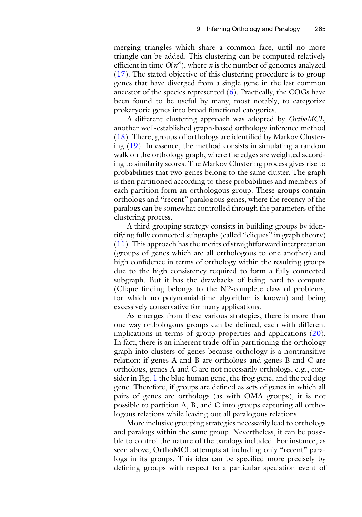merging triangles which share a common face, until no more triangle can be added. This clustering can be computed relatively efficient in time  $O(n^3)$ , where *n* is the number of genomes analyzed ([17](#page-17-0)). The stated objective of this clustering procedure is to group genes that have diverged from a single gene in the last common ancestor of the species represented  $(6)$  $(6)$ . Practically, the COGs have been found to be useful by many, most notably, to categorize prokaryotic genes into broad functional categories.

A different clustering approach was adopted by OrthoMCL, another well-established graph-based orthology inference method ([18](#page-18-0)). There, groups of orthologs are identified by Markov Clustering [\(19](#page-18-0)). In essence, the method consists in simulating a random walk on the orthology graph, where the edges are weighted according to similarity scores. The Markov Clustering process gives rise to probabilities that two genes belong to the same cluster. The graph is then partitioned according to these probabilities and members of each partition form an orthologous group. These groups contain orthologs and "recent" paralogous genes, where the recency of the paralogs can be somewhat controlled through the parameters of the clustering process.

A third grouping strategy consists in building groups by identifying fully connected subgraphs (called "cliques" in graph theory) ([11](#page-17-0)). This approach has the merits of straightforward interpretation (groups of genes which are all orthologous to one another) and high confidence in terms of orthology within the resulting groups due to the high consistency required to form a fully connected subgraph. But it has the drawbacks of being hard to compute (Clique finding belongs to the NP-complete class of problems, for which no polynomial-time algorithm is known) and being excessively conservative for many applications.

As emerges from these various strategies, there is more than one way orthologous groups can be defined, each with different implications in terms of group properties and applications ([20\)](#page-18-0). In fact, there is an inherent trade-off in partitioning the orthology graph into clusters of genes because orthology is a nontransitive relation: if genes A and B are orthologs and genes B and C are orthologs, genes A and C are not necessarily orthologs, e.g., consider in Fig. [1](#page-3-0) the blue human gene, the frog gene, and the red dog gene. Therefore, if groups are defined as sets of genes in which all pairs of genes are orthologs (as with OMA groups), it is not possible to partition A, B, and C into groups capturing all orthologous relations while leaving out all paralogous relations.

More inclusive grouping strategies necessarily lead to orthologs and paralogs within the same group. Nevertheless, it can be possible to control the nature of the paralogs included. For instance, as seen above, OrthoMCL attempts at including only "recent" paralogs in its groups. This idea can be specified more precisely by defining groups with respect to a particular speciation event of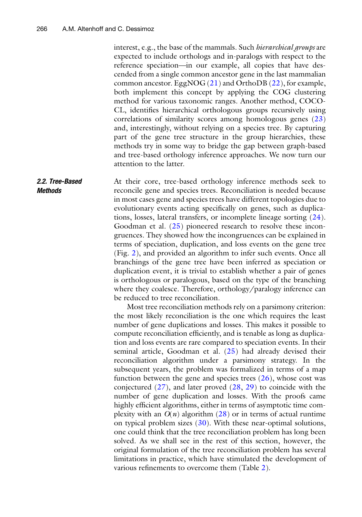interest, e.g., the base of the mammals. Such *hierarchical groups* are expected to include orthologs and in-paralogs with respect to the reference speciation—in our example, all copies that have descended from a single common ancestor gene in the last mammalian common ancestor. EggNOG  $(21)$  and OrthoDB  $(22)$  $(22)$ , for example, both implement this concept by applying the COG clustering method for various taxonomic ranges. Another method, COCO-CL, identifies hierarchical orthologous groups recursively using correlations of similarity scores among homologous genes ([23\)](#page-18-0) and, interestingly, without relying on a species tree. By capturing part of the gene tree structure in the group hierarchies, these methods try in some way to bridge the gap between graph-based and tree-based orthology inference approaches. We now turn our attention to the latter.

2.2. Tree-Based Methods At their core, tree-based orthology inference methods seek to reconcile gene and species trees. Reconciliation is needed because in most cases gene and species trees have different topologies due to evolutionary events acting specifically on genes, such as duplications, losses, lateral transfers, or incomplete lineage sorting ([24\)](#page-18-0). Goodman et al. ([25](#page-18-0)) pioneered research to resolve these incongruences. They showed how the incongruences can be explained in terms of speciation, duplication, and loss events on the gene tree (Fig. [2](#page-8-0)), and provided an algorithm to infer such events. Once all branchings of the gene tree have been inferred as speciation or duplication event, it is trivial to establish whether a pair of genes is orthologous or paralogous, based on the type of the branching where they coalesce. Therefore, orthology/paralogy inference can be reduced to tree reconciliation.

Most tree reconciliation methods rely on a parsimony criterion: the most likely reconciliation is the one which requires the least number of gene duplications and losses. This makes it possible to compute reconciliation efficiently, and is tenable as long as duplication and loss events are rare compared to speciation events. In their seminal article, Goodman et al. ([25\)](#page-18-0) had already devised their reconciliation algorithm under a parsimony strategy. In the subsequent years, the problem was formalized in terms of a map function between the gene and species trees  $(26)$  $(26)$ , whose cost was conjectured  $(27)$  $(27)$ , and later proved  $(28, 29)$  $(28, 29)$  $(28, 29)$  to coincide with the number of gene duplication and losses. With the proofs came highly efficient algorithms, either in terms of asymptotic time complexity with an  $O(n)$  algorithm [\(28\)](#page-18-0) or in terms of actual runtime on typical problem sizes ([30](#page-18-0)). With these near-optimal solutions, one could think that the tree reconciliation problem has long been solved. As we shall see in the rest of this section, however, the original formulation of the tree reconciliation problem has several limitations in practice, which have stimulated the development of various refinements to overcome them (Table [2\)](#page-9-0).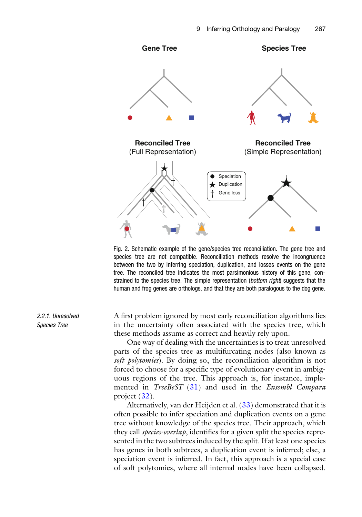<span id="page-8-0"></span>

Fig. 2. Schematic example of the gene/species tree reconciliation. The gene tree and species tree are not compatible. Reconciliation methods resolve the incongruence between the two by inferring speciation, duplication, and losses events on the gene tree. The reconciled tree indicates the most parsimonious history of this gene, constrained to the species tree. The simple representation (bottom right) suggests that the human and frog genes are orthologs, and that they are both paralogous to the dog gene.

A first problem ignored by most early reconciliation algorithms lies in the uncertainty often associated with the species tree, which these methods assume as correct and heavily rely upon.

One way of dealing with the uncertainties is to treat unresolved parts of the species tree as multifurcating nodes (also known as soft polytomies). By doing so, the reconciliation algorithm is not forced to choose for a specific type of evolutionary event in ambiguous regions of the tree. This approach is, for instance, implemented in *TreeBeST* [\(31\)](#page-18-0) and used in the *Ensembl Compara* project  $(32)$  $(32)$  $(32)$ .

Alternatively, van der Heijden et al.  $(33)$  $(33)$  demonstrated that it is often possible to infer speciation and duplication events on a gene tree without knowledge of the species tree. Their approach, which they call *species-overlap*, identifies for a given split the species represented in the two subtrees induced by the split. If at least one species has genes in both subtrees, a duplication event is inferred; else, a speciation event is inferred. In fact, this approach is a special case of soft polytomies, where all internal nodes have been collapsed.

2.2.1. Unresolved Species Tree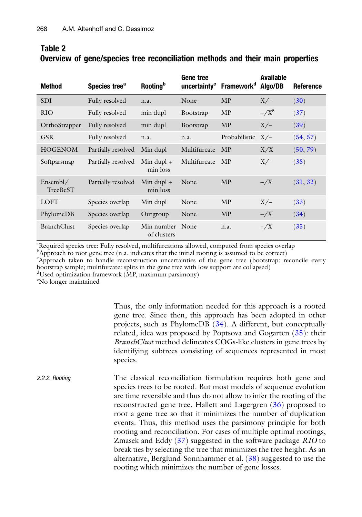## <span id="page-9-0"></span>Table 2 Overview of gene/species tree reconciliation methods and their main properties

| Method                      | Species tree <sup>a</sup> | <b>Rooting</b> <sup>b</sup>    | Gene tree<br>uncertainty <sup>c</sup> | Framework <sup>d</sup> | <b>Available</b><br>Algo/DB | <b>Reference</b> |
|-----------------------------|---------------------------|--------------------------------|---------------------------------------|------------------------|-----------------------------|------------------|
| <b>SDI</b>                  | Fully resolved            | n.a.                           | None                                  | <b>MP</b>              | $X/-$                       | (30)             |
| <b>RIO</b>                  | Fully resolved            | min dupl                       | <b>Bootstrap</b>                      | <b>MP</b>              | $-\big/ X^5$                | (37)             |
| OrthoStrapper               | Fully resolved            | min dupl                       | <b>Bootstrap</b>                      | <b>MP</b>              | $X/-$                       | (39)             |
| <b>GSR</b>                  | Fully resolved            | n.a.                           | n.a.                                  | Probabilistic          | $X/-$                       | (54, 57)         |
| <b>HOGENOM</b>              | Partially resolved        | Min dupl                       | Multifurcate                          | <b>MP</b>              | X/X                         | (50, 79)         |
| Softparsmap                 | Partially resolved        | Min dupl $+$<br>min loss       | Multifurcate                          | - MP                   | $X/-$                       | (38)             |
| Ensembl/<br><b>TreeBeST</b> | Partially resolved        | Min dupl $+$<br>min loss       | None                                  | <b>MP</b>              | $-\big/ X$                  | (31, 32)         |
| <b>LOFT</b>                 | Species overlap           | Min dupl                       | None                                  | MP                     | $X/-$                       | (33)             |
| PhylomeDB                   | Species overlap           | Outgroup                       | None                                  | <b>MP</b>              | $-\big/ X$                  | (34)             |
| <b>BranchClust</b>          | Species overlap           | Min number None<br>of clusters |                                       | n.a.                   | $-\big/ X$                  | (35)             |

<sup>a</sup>Required species tree: Fully resolved, multifurcations allowed, computed from species overlap

<sup>b</sup>Approach to root gene tree (n.a. indicates that the initial rooting is assumed to be correct)

Approach taken to handle reconstruction uncertainties of the gene tree (bootstrap: reconcile every bootstrap sample; multifurcate: splits in the gene tree with low support are collapsed)

d Used optimization framework (MP, maximum parsimony)

e No longer maintained

Thus, the only information needed for this approach is a rooted gene tree. Since then, this approach has been adopted in other projects, such as PhylomeDB ([34](#page-18-0)). A different, but conceptually related, idea was proposed by Poptsova and Gogarten  $(35)$  $(35)$ : their BranchClust method delineates COGs-like clusters in gene trees by identifying subtrees consisting of sequences represented in most species.

2.2.2. Rooting The classical reconciliation formulation requires both gene and species trees to be rooted. But most models of sequence evolution are time reversible and thus do not allow to infer the rooting of the reconstructed gene tree. Hallett and Lagergren ([36](#page-18-0)) proposed to root a gene tree so that it minimizes the number of duplication events. Thus, this method uses the parsimony principle for both rooting and reconciliation. For cases of multiple optimal rootings, Zmasek and Eddy ([37](#page-18-0)) suggested in the software package RIO to break ties by selecting the tree that minimizes the tree height. As an alternative, Berglund-Sonnhammer et al. [\(38](#page-18-0)) suggested to use the rooting which minimizes the number of gene losses.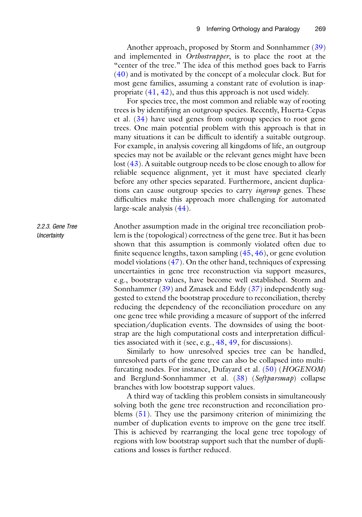Another approach, proposed by Storm and Sonnhammer ([39\)](#page-18-0) and implemented in *Orthostrapper*, is to place the root at the "center of the tree." The idea of this method goes back to Farris ([40](#page-19-0)) and is motivated by the concept of a molecular clock. But for most gene families, assuming a constant rate of evolution is inappropriate [\(41,](#page-19-0) [42](#page-19-0)), and thus this approach is not used widely.

For species tree, the most common and reliable way of rooting trees is by identifying an outgroup species. Recently, Huerta-Cepas et al. ([34\)](#page-18-0) have used genes from outgroup species to root gene trees. One main potential problem with this approach is that in many situations it can be difficult to identify a suitable outgroup. For example, in analysis covering all kingdoms of life, an outgroup species may not be available or the relevant genes might have been lost ([43\)](#page-19-0). A suitable outgroup needs to be close enough to allow for reliable sequence alignment, yet it must have speciated clearly before any other species separated. Furthermore, ancient duplications can cause outgroup species to carry *ingroup* genes. These difficulties make this approach more challenging for automated large-scale analysis [\(44\)](#page-19-0).

Another assumption made in the original tree reconciliation problem is the (topological) correctness of the gene tree. But it has been shown that this assumption is commonly violated often due to finite sequence lengths, taxon sampling ([45](#page-19-0), [46\)](#page-19-0), or gene evolution model violations ([47\)](#page-19-0). On the other hand, techniques of expressing uncertainties in gene tree reconstruction via support measures, e.g., bootstrap values, have become well established. Storm and Sonnhammer [\(39](#page-18-0)) and Zmasek and Eddy ([37](#page-18-0)) independently suggested to extend the bootstrap procedure to reconciliation, thereby reducing the dependency of the reconciliation procedure on any one gene tree while providing a measure of support of the inferred speciation/duplication events. The downsides of using the bootstrap are the high computational costs and interpretation difficulties associated with it (see, e.g.,  $48, 49$  $48, 49$  $48, 49$ , for discussions).

> Similarly to how unresolved species tree can be handled, unresolved parts of the gene tree can also be collapsed into multifurcating nodes. For instance, Dufayard et al. [\(50](#page-19-0)) (HOGENOM) and Berglund-Sonnhammer et al.  $(38)$  $(38)$  $(38)$   $(Softparsmap)$  collapse branches with low bootstrap support values.

> A third way of tackling this problem consists in simultaneously solving both the gene tree reconstruction and reconciliation problems ([51\)](#page-19-0). They use the parsimony criterion of minimizing the number of duplication events to improve on the gene tree itself. This is achieved by rearranging the local gene tree topology of regions with low bootstrap support such that the number of duplications and losses is further reduced.

2.2.3. Gene Tree **Uncertainty**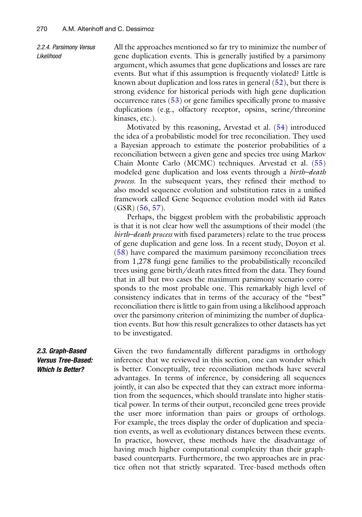<span id="page-11-0"></span>2.2.4. Parsimony Versus Likelihood

All the approaches mentioned so far try to minimize the number of gene duplication events. This is generally justified by a parsimony argument, which assumes that gene duplications and losses are rare events. But what if this assumption is frequently violated? Little is known about duplication and loss rates in general  $(52)$  $(52)$  $(52)$ , but there is strong evidence for historical periods with high gene duplication occurrence rates ([53\)](#page-19-0) or gene families specifically prone to massive duplications (e.g., olfactory receptor, opsins, serine/threonine kinases, etc.).

Motivated by this reasoning, Arvestad et al. ([54\)](#page-19-0) introduced the idea of a probabilistic model for tree reconciliation. They used a Bayesian approach to estimate the posterior probabilities of a reconciliation between a given gene and species tree using Markov Chain Monte Carlo (MCMC) techniques. Arvestad et al. ([55\)](#page-19-0) modeled gene duplication and loss events through a birth–death process. In the subsequent years, they refined their method to also model sequence evolution and substitution rates in a unified framework called Gene Sequence evolution model with iid Rates  $(GSR)$   $(56, 57)$  $(56, 57)$  $(56, 57)$ .

Perhaps, the biggest problem with the probabilistic approach is that it is not clear how well the assumptions of their model (the birth-death process with fixed parameters) relate to the true process of gene duplication and gene loss. In a recent study, Doyon et al. ([58](#page-19-0)) have compared the maximum parsimony reconciliation trees from 1,278 fungi gene families to the probabilistically reconciled trees using gene birth/death rates fitted from the data. They found that in all but two cases the maximum parsimony scenario corresponds to the most probable one. This remarkably high level of consistency indicates that in terms of the accuracy of the "best" reconciliation there is little to gain from using a likelihood approach over the parsimony criterion of minimizing the number of duplication events. But how this result generalizes to other datasets has yet to be investigated.

2.3. Graph-Based Versus Tree-Based: Which Is Better? Given the two fundamentally different paradigms in orthology inference that we reviewed in this section, one can wonder which is better. Conceptually, tree reconciliation methods have several advantages. In terms of inference, by considering all sequences jointly, it can also be expected that they can extract more information from the sequences, which should translate into higher statistical power. In terms of their output, reconciled gene trees provide the user more information than pairs or groups of orthologs. For example, the trees display the order of duplication and speciation events, as well as evolutionary distances between these events. In practice, however, these methods have the disadvantage of having much higher computational complexity than their graphbased counterparts. Furthermore, the two approaches are in practice often not that strictly separated. Tree-based methods often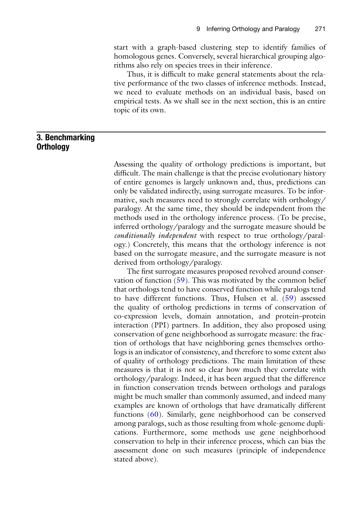start with a graph-based clustering step to identify families of homologous genes. Conversely, several hierarchical grouping algorithms also rely on species trees in their inference.

Thus, it is difficult to make general statements about the relative performance of the two classes of inference methods. Instead, we need to evaluate methods on an individual basis, based on empirical tests. As we shall see in the next section, this is an entire topic of its own.

#### 3. Benchmarking **Orthology**

Assessing the quality of orthology predictions is important, but difficult. The main challenge is that the precise evolutionary history of entire genomes is largely unknown and, thus, predictions can only be validated indirectly, using surrogate measures. To be informative, such measures need to strongly correlate with orthology/ paralogy. At the same time, they should be independent from the methods used in the orthology inference process. (To be precise, inferred orthology/paralogy and the surrogate measure should be conditionally independent with respect to true orthology/paralogy.) Concretely, this means that the orthology inference is not based on the surrogate measure, and the surrogate measure is not derived from orthology/paralogy.

The first surrogate measures proposed revolved around conservation of function ([59](#page-19-0)). This was motivated by the common belief that orthologs tend to have conserved function while paralogs tend to have different functions. Thus, Hulsen et al. ([59\)](#page-19-0) assessed the quality of ortholog predictions in terms of conservation of co-expression levels, domain annotation, and protein–protein interaction (PPI) partners. In addition, they also proposed using conservation of gene neighborhood as surrogate measure: the fraction of orthologs that have neighboring genes themselves orthologs is an indicator of consistency, and therefore to some extent also of quality of orthology predictions. The main limitation of these measures is that it is not so clear how much they correlate with orthology/paralogy. Indeed, it has been argued that the difference in function conservation trends between orthologs and paralogs might be much smaller than commonly assumed, and indeed many examples are known of orthologs that have dramatically different functions [\(60\)](#page-19-0). Similarly, gene neighborhood can be conserved among paralogs, such as those resulting from whole-genome duplications. Furthermore, some methods use gene neighborhood conservation to help in their inference process, which can bias the assessment done on such measures (principle of independence stated above).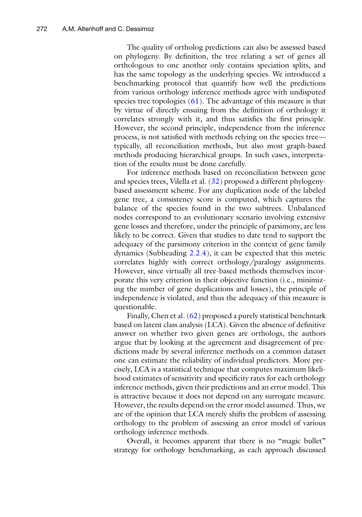The quality of ortholog predictions can also be assessed based on phylogeny. By definition, the tree relating a set of genes all orthologous to one another only contains speciation splits, and has the same topology as the underlying species. We introduced a benchmarking protocol that quantify how well the predictions from various orthology inference methods agree with undisputed species tree topologies  $(61)$  $(61)$  $(61)$ . The advantage of this measure is that by virtue of directly ensuing from the definition of orthology it correlates strongly with it, and thus satisfies the first principle. However, the second principle, independence from the inference process, is not satisfied with methods relying on the species tree typically, all reconciliation methods, but also most graph-based methods producing hierarchical groups. In such cases, interpretation of the results must be done carefully.

For inference methods based on reconciliation between gene and species trees, Vilella et al.  $(32)$  proposed a different phylogenybased assessment scheme. For any duplication node of the labeled gene tree, a consistency score is computed, which captures the balance of the species found in the two subtrees. Unbalanced nodes correspond to an evolutionary scenario involving extensive gene losses and therefore, under the principle of parsimony, are less likely to be correct. Given that studies to date tend to support the adequacy of the parsimony criterion in the context of gene family dynamics (Subheading [2.2.4](#page-11-0)), it can be expected that this metric correlates highly with correct orthology/paralogy assignments. However, since virtually all tree-based methods themselves incorporate this very criterion in their objective function (i.e., minimizing the number of gene duplications and losses), the principle of independence is violated, and thus the adequacy of this measure is questionable.

Finally, Chen et al. ([62](#page-20-0)) proposed a purely statistical benchmark based on latent class analysis (LCA). Given the absence of definitive answer on whether two given genes are orthologs, the authors argue that by looking at the agreement and disagreement of predictions made by several inference methods on a common dataset one can estimate the reliability of individual predictors. More precisely, LCA is a statistical technique that computes maximum likelihood estimates of sensitivity and specificity rates for each orthology inference methods, given their predictions and an error model. This is attractive because it does not depend on any surrogate measure. However, the results depend on the error model assumed. Thus, we are of the opinion that LCA merely shifts the problem of assessing orthology to the problem of assessing an error model of various orthology inference methods.

Overall, it becomes apparent that there is no "magic bullet" strategy for orthology benchmarking, as each approach discussed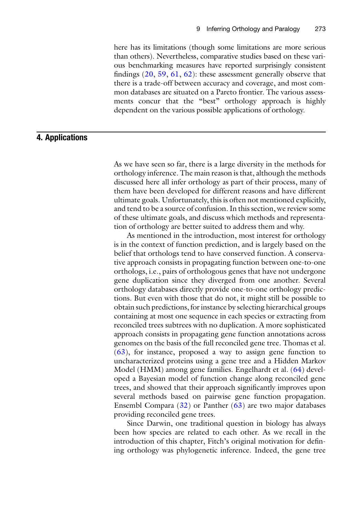here has its limitations (though some limitations are more serious than others). Nevertheless, comparative studies based on these various benchmarking measures have reported surprisingly consistent findings  $(20, 59, 61, 62)$  $(20, 59, 61, 62)$  $(20, 59, 61, 62)$  $(20, 59, 61, 62)$  $(20, 59, 61, 62)$  $(20, 59, 61, 62)$  $(20, 59, 61, 62)$  $(20, 59, 61, 62)$ : these assessment generally observe that there is a trade-off between accuracy and coverage, and most common databases are situated on a Pareto frontier. The various assessments concur that the "best" orthology approach is highly dependent on the various possible applications of orthology.

#### 4. Applications

As we have seen so far, there is a large diversity in the methods for orthology inference. The main reason is that, although the methods discussed here all infer orthology as part of their process, many of them have been developed for different reasons and have different ultimate goals. Unfortunately, this is often not mentioned explicitly, and tend to be a source of confusion. In this section, we review some of these ultimate goals, and discuss which methods and representation of orthology are better suited to address them and why.

As mentioned in the introduction, most interest for orthology is in the context of function prediction, and is largely based on the belief that orthologs tend to have conserved function. A conservative approach consists in propagating function between one-to-one orthologs, i.e., pairs of orthologous genes that have not undergone gene duplication since they diverged from one another. Several orthology databases directly provide one-to-one orthology predictions. But even with those that do not, it might still be possible to obtain such predictions, for instance by selecting hierarchical groups containing at most one sequence in each species or extracting from reconciled trees subtrees with no duplication. A more sophisticated approach consists in propagating gene function annotations across genomes on the basis of the full reconciled gene tree. Thomas et al. ([63](#page-20-0)), for instance, proposed a way to assign gene function to uncharacterized proteins using a gene tree and a Hidden Markov Model (HMM) among gene families. Engelhardt et al. [\(64\)](#page-20-0) developed a Bayesian model of function change along reconciled gene trees, and showed that their approach significantly improves upon several methods based on pairwise gene function propagation. Ensembl Compara  $(32)$  $(32)$  or Panther  $(63)$  $(63)$  are two major databases providing reconciled gene trees.

Since Darwin, one traditional question in biology has always been how species are related to each other. As we recall in the introduction of this chapter, Fitch's original motivation for defining orthology was phylogenetic inference. Indeed, the gene tree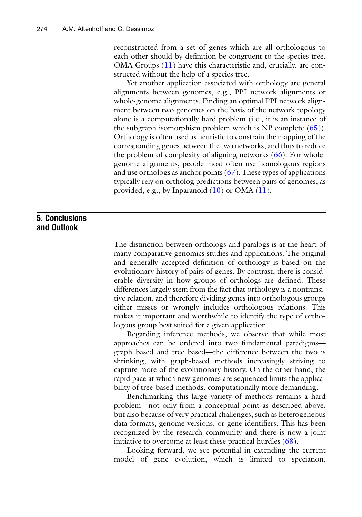reconstructed from a set of genes which are all orthologous to each other should by definition be congruent to the species tree. OMA Groups ([11](#page-17-0)) have this characteristic and, crucially, are constructed without the help of a species tree.

Yet another application associated with orthology are general alignments between genomes, e.g., PPI network alignments or whole-genome alignments. Finding an optimal PPI network alignment between two genomes on the basis of the network topology alone is a computationally hard problem (i.e., it is an instance of the subgraph isomorphism problem which is NP complete  $(65)$  $(65)$ ). Orthology is often used as heuristic to constrain the mapping of the corresponding genes between the two networks, and thus to reduce the problem of complexity of aligning networks  $(66)$  $(66)$ . For wholegenome alignments, people most often use homologous regions and use orthologs as anchor points  $(67)$ . These types of applications typically rely on ortholog predictions between pairs of genomes, as provided, e.g., by Inparanoid  $(10)$  $(10)$  $(10)$  or OMA  $(11)$  $(11)$  $(11)$ .

## 5. Conclusions and Outlook

The distinction between orthologs and paralogs is at the heart of many comparative genomics studies and applications. The original and generally accepted definition of orthology is based on the evolutionary history of pairs of genes. By contrast, there is considerable diversity in how groups of orthologs are defined. These differences largely stem from the fact that orthology is a nontransitive relation, and therefore dividing genes into orthologous groups either misses or wrongly includes orthologous relations. This makes it important and worthwhile to identify the type of orthologous group best suited for a given application.

Regarding inference methods, we observe that while most approaches can be ordered into two fundamental paradigms graph based and tree based—the difference between the two is shrinking, with graph-based methods increasingly striving to capture more of the evolutionary history. On the other hand, the rapid pace at which new genomes are sequenced limits the applicability of tree-based methods, computationally more demanding.

Benchmarking this large variety of methods remains a hard problem—not only from a conceptual point as described above, but also because of very practical challenges, such as heterogeneous data formats, genome versions, or gene identifiers. This has been recognized by the research community and there is now a joint initiative to overcome at least these practical hurdles [\(68\)](#page-20-0).

Looking forward, we see potential in extending the current model of gene evolution, which is limited to speciation,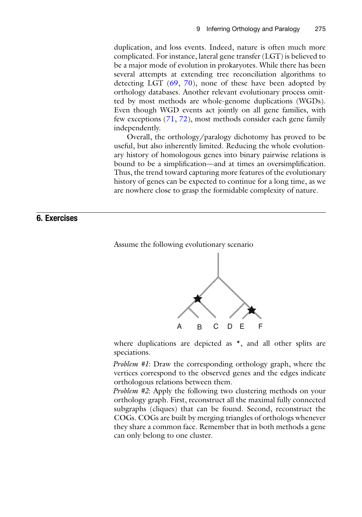duplication, and loss events. Indeed, nature is often much more complicated. For instance, lateral gene transfer (LGT) is believed to be a major mode of evolution in prokaryotes. While there has been several attempts at extending tree reconciliation algorithms to detecting LGT [\(69](#page-20-0), [70\)](#page-20-0), none of these have been adopted by orthology databases. Another relevant evolutionary process omitted by most methods are whole-genome duplications (WGDs). Even though WGD events act jointly on all gene families, with few exceptions [\(71](#page-20-0), [72](#page-20-0)), most methods consider each gene family independently.

Overall, the orthology/paralogy dichotomy has proved to be useful, but also inherently limited. Reducing the whole evolutionary history of homologous genes into binary pairwise relations is bound to be a simplification—and at times an oversimplification. Thus, the trend toward capturing more features of the evolutionary history of genes can be expected to continue for a long time, as we are nowhere close to grasp the formidable complexity of nature.

#### 6. Exercises



where duplications are depicted as  $\star$ , and all other splits are speciations.

*Problem* #1: Draw the corresponding orthology graph, where the vertices correspond to the observed genes and the edges indicate orthologous relations between them.

Problem #2: Apply the following two clustering methods on your orthology graph. First, reconstruct all the maximal fully connected subgraphs (cliques) that can be found. Second, reconstruct the COGs. COGs are built by merging triangles of orthologs whenever they share a common face. Remember that in both methods a gene can only belong to one cluster.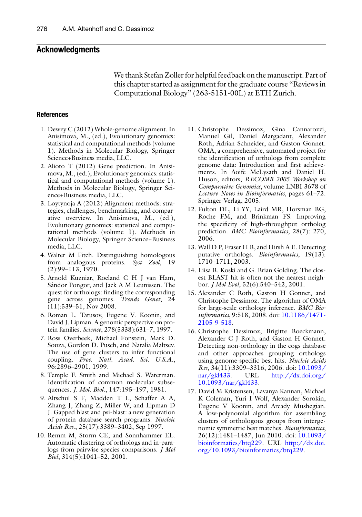#### <span id="page-17-0"></span>Acknowledgments

We thank Stefan Zoller for helpful feedback on the manuscript. Part of this chapter started as assignment for the graduate course "Reviews in Computational Biology" (263-5151-00L) at ETH Zurich.

#### **References**

- 1. Dewey C (2012) Whole-genome alignment. In Anisimova, M., (ed.), Evolutionary genomics: statistical and computational methods (volume 1). Methods in Molecular Biology, Springer Science+Business media, LLC.
- 2. Alioto T (2012) Gene prediction. In Anisimova, M., (ed.), Evolutionary genomics: statistical and computational methods (volume 1). Methods in Molecular Biology, Springer Science+Business media, LLC.
- 3. Loytynoja A (2012) Alignment methods: strategies, challenges, benchmarking, and comparative overview. In Anisimova, M., (ed.), Evolutionary genomics: statistical and computational methods (volume 1). Methods in Molecular Biology, Springer Science+Business media, LLC.
- 4. Walter M Fitch. Distinguishing homologous from analogous proteins. Syst Zool, 19 (2):99–113, 1970.
- 5. Arnold Kuzniar, Roeland C H J van Ham, Sándor Pongor, and Jack A M Leunissen. The quest for orthologs: finding the corresponding gene across genomes. Trends Genet, 24 (11):539–51, Nov 2008.
- 6. Roman L. Tatusov, Eugene V. Koonin, and David J. Lipman. A genomic perspective on protein families. Science, 278(5338):631–7, 1997.
- 7. Ross Overbeek, Michael Fonstein, Mark D. Souza, Gordon D. Pusch, and Natalia Maltsev. The use of gene clusters to infer functional coupling. Proc. Natl. Acad. Sci. U.S.A., 96:2896–2901, 1999.
- 8. Temple F. Smith and Michael S. Waterman. Identification of common molecular subsequences. *J. Mol. Biol.*, 147:195-197, 1981.
- 9. Altschul S F, Madden T L, Schaffer A A, Zhang J, Zhang Z, Miller W, and Lipman D J. Gapped blast and psi-blast: a new generation of protein database search programs. Nucleic Acids Res., 25(17):3389–3402, Sep 1997.
- 10. Remm M, Storm CE, and Sonnhammer EL. Automatic clustering of orthologs and in-paralogs from pairwise species comparisons. *J Mol* Biol, 314(5):1041–52, 2001.
- 11. Christophe Dessimoz, Gina Cannarozzi, Manuel Gil, Daniel Margadant, Alexander Roth, Adrian Schneider, and Gaston Gonnet. OMA, a comprehensive, automated project for the identification of orthologs from complete genome data: Introduction and first achievements. In Aoife McLysath and Daniel H. Huson, editors, RECOMB 2005 Workshop on Comparative Genomics, volume LNBI 3678 of Lecture Notes in Bioinformatics, pages 61–72. Springer-Verlag, 2005.
- 12. Fulton DL, Li YY, Laird MR, Horsman BG, Roche FM, and Brinkman FS. Improving the specificity of high-throughput ortholog prediction. BMC Bioinformatics, 28(7): 270, 2006.
- 13. Wall D P, Fraser H B, and Hirsh A E. Detecting putative orthologs. Bioinformatics, 19(13): 1710–1711, 2003.
- 14. Liisa B. Koski and G. Brian Golding. The closest BLAST hit is often not the nearest neighbor. J Mol Evol, 52(6):540–542, 2001.
- 15. Alexander C Roth, Gaston H Gonnet, and Christophe Dessimoz. The algorithm of OMA for large-scale orthology inference. BMC Bioinformatics, 9:518, 2008. doi: 10.1186/1471- 2105-9-518.
- 16. Christophe Dessimoz, Brigitte Boeckmann, Alexander C J Roth, and Gaston H Gonnet. Detecting non-orthology in the cogs database and other approaches grouping orthologs using genome-specific best hits. Nucleic Acids Res, 34(11):3309–3316, 2006. doi: 10.1093/ nar/gkl433. URL http://dx.doi.org/ 10.1093/nar/gkl433.
- 17. David M Kristensen, Lavanya Kannan, Michael K Coleman, Yuri I Wolf, Alexander Sorokin, Eugene V Koonin, and Arcady Mushegian. A low-polynomial algorithm for assembling clusters of orthologous groups from intergenomic symmetric best matches. Bioinformatics, 26(12):1481–1487, Jun 2010. doi: 10.1093/ bioinformatics/btq229. URL http://dx.doi. org/10.1093/bioinformatics/btq229.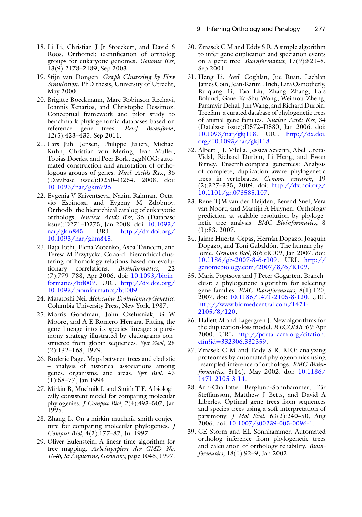- <span id="page-18-0"></span>18. Li Li, Christian J Jr Stoeckert, and David S Roos. Orthomcl: identification of ortholog groups for eukaryotic genomes. Genome Res, 13(9):2178–2189, Sep 2003.
- 19. Stijn van Dongen. Graph Clustering by Flow Simulation. PhD thesis, University of Utrecht, May 2000.
- 20. Brigitte Boeckmann, Marc Robinson-Rechavi, Ioannis Xenarios, and Christophe Dessimoz. Conceptual framework and pilot study to benchmark phylogenomic databases based on reference gene trees. Brief Bioinform, 12(5):423–435, Sep 2011.
- 21. Lars Juhl Jensen, Philippe Julien, Michael Kuhn, Christian von Mering, Jean Muller, Tobias Doerks, and Peer Bork. eggNOG: automated construction and annotation of orthologous groups of genes. Nucl. Acids Res., 36 (Database issue):D250–D254, 2008. doi: 10.1093/nar/gkm796.
- 22. Evgenia V Kriventseva, Nazim Rahman, Octavio Espinosa, and Evgeny M Zdobnov. Orthodb: the hierarchical catalog of eukaryotic orthologs. Nucleic Acids Res, 36 (Database issue):D271–D275, Jan 2008. doi: 10.1093/ nar/gkm845. URL http://dx.doi.org/ 10.1093/nar/gkm845.
- 23. Raja Jothi, Elena Zotenko, Asba Tasneem, and Teresa M Przytycka. Coco-cl: hierarchical clustering of homology relations based on evolutionary correlations. Bioinformatics, 22 (7):779–788, Apr 2006. doi: 10.1093/bioinformatics/btl009. URL http://dx.doi.org/ 10.1093/bioinformatics/btl009.
- 24. Masatoshi Nei. Molecular Evolutionary Genetics. Columbia University Press, New York, 1987.
- 25. Morris Goodman, John Czelusniak, G W Moore, and A E Romero-Herrara. Fitting the gene lineage into its species lineage: a parsimony strategy illustrated by cladograms constructed from globin sequences. Syst Zool, 28 (2):132–168, 1979.
- 26. Roderic Page. Maps between trees and cladistic – analysis of historical associations among genes, organisms, and areas. Syst Biol, 43 (1):58–77, Jan 1994.
- 27. Mirkin B, Muchnik I, and Smith T F. A biologically consistent model for comparing molecular phylogenies. J Comput Biol, 2(4):493–507, Jan 1995.
- 28. Zhang L. On a mirkin-muchnik-smith conjecture for comparing molecular phylogenies. J Comput Biol, 4(2):177–87, Jul 1997.
- 29. Oliver Eulenstein. A linear time algorithm for tree mapping. Arbeitspapiere der GMD No. 1046, St Augustine, Germany, page 1046, 1997.
- 30. Zmasek C M and Eddy S R. A simple algorithm to infer gene duplication and speciation events on a gene tree. Bioinformatics, 17(9):821–8, Sep 2001.
- 31. Heng Li, Avril Coghlan, Jue Ruan, Lachlan James Coin, Jean-KarimHrich, LaraOsmotherly, Ruiqiang Li, Tao Liu, Zhang Zhang, Lars Bolund, Gane Ka-Shu Wong, Weimou Zheng, Paramvir Dehal, Jun Wang, and Richard Durbin. Treefam: a curated database of phylogenetic trees of animal gene families. Nucleic Acids Res, 34 (Database issue):D572–D580, Jan 2006. doi: 10.1093/nar/gkj118. URL http://dx.doi. org/10.1093/nar/gkj118.
- 32. Albert J J. Vilella, Jessica Severin, Abel Ureta-Vidal, Richard Durbin, Li Heng, and Ewan Birney. Ensemblcompara genetrees: Analysis of complete, duplication aware phylogenetic trees in vertebrates. Genome research, 19 (2):327–335, 2009. doi: http://dx.doi.org/ 10.1101/gr.073585.107.
- 33. Rene TJM van der Heijden, Berend Snel, Vera van Noort, and Martijn A Huynen. Orthology prediction at scalable resolution by phylogenetic tree analysis. BMC Bioinformatics, 8 (1):83, 2007.
- 34. Jaime Huerta-Cepas, Hernán Dopazo, Joaquín Dopazo, and Toni Gabaldón. The human phylome. Genome Biol, 8(6):R109, Jan 2007. doi: 10.1186/gb-2007-8-6-r109. URL [http://](http://genomebiology.com/2007/8/6/R109) [genomebiology.com/2007/8/6/R109.](http://genomebiology.com/2007/8/6/R109)
- 35. Maria Poptsova and J Peter Gogarten. Branchclust: a phylogenetic algorithm for selecting gene families. BMC Bioinformatics, 8(1):120, 2007. doi: 10.1186/1471-2105-8-120. URL [http://www.biomedcentral.com/1471-](http://www.biomedcentral.com/1471-2105/8/120) [2105/8/120.](http://www.biomedcentral.com/1471-2105/8/120)
- 36. Hallett M and Lagergren J. New algorithms for the duplication-loss model. RECOMB '00: Apr 2000. URL [http://portal.acm.org/citation.](http://portal.acm.org/citation.cfm?id=332306.332359) [cfm?id](http://portal.acm.org/citation.cfm?id=332306.332359)=[332306.332359.](http://portal.acm.org/citation.cfm?id=332306.332359)
- 37. Zmasek C M and Eddy S R. RIO: analyzing proteomes by automated phylogenomics using resampled inference of orthologs. BMC Bioinformatics, 3(14), May 2002. doi: 10.1186/ 1471-2105-3-14.
- 38. Ann-Charlotte Berglund-Sonnhammer, Pär Steffansson, Matthew J Betts, and David A Liberles. Optimal gene trees from sequences and species trees using a soft interpretation of parsimony. *J Mol Evol*, 63(2):240-50, Aug 2006. doi: 10.1007/s00239-005-0096-1.
- 39. CE Storm and EL Sonnhammer. Automated ortholog inference from phylogenetic trees and calculation of orthology reliability. Bioinformatics, 18(1):92–9, Jan 2002.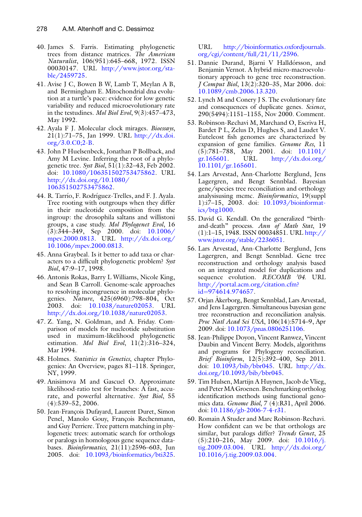- <span id="page-19-0"></span>40. James S. Farris. Estimating phylogenetic trees from distance matrices. The American Naturalist, 106(951):645–668, 1972. ISSN 00030147. URL [http://www.jstor.org/sta](http://www.jstor.org/stable/2459725)[ble/2459725.](http://www.jstor.org/stable/2459725)
- 41. Avise J C, Bowen B W, Lamb T, Meylan A B, and Bermingham E. Mitochondrial dna evolution at a turtle's pace: evidence for low genetic variability and reduced microevolutionary rate in the testudines. Mol Biol Evol, 9(3):457–473, May 1992.
- 42. Ayala F J. Molecular clock mirages. Bioessays, 21(1):71–75, Jan 1999. URL [http://dx.doi.](http://dx.doi.org/3.0.C0;2-B) [org/3.0.C0;2-B.](http://dx.doi.org/3.0.C0;2-B)
- 43. John P Huelsenbeck, Jonathan P Bollback, and Amy M Levine. Inferring the root of a phylogenetic tree. Syst Biol, 51(1):32–43, Feb 2002. doi: 10.1080/106351502753475862. URL http://dx.doi.org/10.1080/ 106351502753475862.
- 44. R. Tarrío, F. Rodríguez-Trelles, and F. J. Ayala. Tree rooting with outgroups when they differ in their nucleotide composition from the ingroup: the drosophila saltans and willistoni groups, a case study. Mol Phylogenet Evol, 16 (3):344–349, Sep 2000. doi: 10.1006/ mpev.2000.0813. URL http://dx.doi.org/ 10.1006/mpev.2000.0813.
- 45. Anna Graybeal. Is it better to add taxa or characters to a difficult phylogenetic problem? Syst Biol, 47:9–17, 1998.
- 46. Antonis Rokas, Barry L Williams, Nicole King, and Sean B Carroll. Genome-scale approaches to resolving incongruence in molecular phylogenies. Nature, 425(6960):798–804, Oct 2003. doi: 10.1038/nature02053. URL http://dx.doi.org/10.1038/nature02053.
- 47. Z. Yang, N. Goldman, and A. Friday. Comparison of models for nucleotide substitution used in maximum-likelihood phylogenetic estimation. Mol Biol Evol, 11(2):316-324, Mar 1994.
- 48. Holmes. Statistics in Genetics, chapter Phylogenies: An Overview, pages 81–118. Springer, NY, 1999.
- 49. Anisimova M and Gascuel O. Approximate likelihood-ratio test for branches: A fast, accurate, and powerful alternative. Syst Biol, 55 (4):539–52, 2006.
- 50. Jean-François Dufayard, Laurent Duret, Simon Penel, Manolo Gouy, François Rechenmann, and Guy Perriere. Tree pattern matching in phylogenetic trees: automatic search for orthologs or paralogs in homologous gene sequence databases. Bioinformatics, 21(11):2596–603, Jun 2005. doi: 10.1093/bioinformatics/bti325.

URL [http://bioinformatics.oxfordjournals.](http://bioinformatics.oxfordjournals.org/cgi/content/full/21/11/2596) [org/cgi/content/full/21/11/2596.](http://bioinformatics.oxfordjournals.org/cgi/content/full/21/11/2596)

- 51. Dannie Durand, Bjarni V Halldórsson, and Benjamin Vernot. A hybrid micro-macroevolutionary approach to gene tree reconstruction. J Comput Biol, 13(2):320–35, Mar 2006. doi: 10.1089/cmb.2006.13.320.
- 52. Lynch M and Conery J S. The evolutionary fate and consequences of duplicate genes. Science, 290(5494):1151–1155, Nov 2000. Comment.
- 53. Robinson-Rechavi M, Marchand O, Escriva H, Bardet P L, Zelus D, Hughes S, and Laudet V. Euteleost fish genomes are characterized by expansion of gene families. Genome Res, 11 (5):781–788, May 2001. doi:  $10.1101$ /<br>gr.165601. URL http://dx.doi.org/ http://dx.doi.org/ 10.1101/gr.165601.
- 54. Lars Arvestad, Ann-Charlotte Berglund, Jens Lagergren, and Bengt Sennblad. Bayesian gene/species tree reconciliation and orthology analysisusing mcmc. Bioinformatics, 19(suppl 1):i7–15, 2003. doi: 10.1093/bioinformatics/btg1000.
- 55. David G. Kendall. On the generalized "birthand-death" process. Ann of Math Stat, 19 (1):1–15, 1948. ISSN 00034851. URL [http://](http://www.jstor.org/stable/2236051) [www.jstor.org/stable/2236051.](http://www.jstor.org/stable/2236051)
- 56. Lars Arvestad, Ann-Charlotte Berglund, Jens Lagergren, and Bengt Sennblad. Gene tree reconstruction and orthology analysis based on an integrated model for duplications and sequence evolution. RECOMB '04. URL [http://portal.acm.org/citation.cfm?](http://portal.acm.org/citation.cfm?id=974614.974657) [id](http://portal.acm.org/citation.cfm?id=974614.974657)=[974614.974657](http://portal.acm.org/citation.cfm?id=974614.974657).
- 57. Orjan Akerborg, Bengt Sennblad, Lars Arvestad, and Jens Lagergren. Simultaneous bayesian gene tree reconstruction and reconciliation analysis. Proc Natl Acad Sci USA, 106(14):5714-9, Apr 2009. doi: 10.1073/pnas.0806251106.
- 58. Jean-Philippe Doyon, Vincent Ranwez, Vincent Daubin and Vincent Berry. Models, algorithms and programs for Phylogeny reconciliation. Brief Bioinform, 12(5):392–400, Sep 2011. doi: 10.1093/bib/bbr045. URL http://dx. doi.org/10.1093/bib/bbr045.
- 59. Tim Hulsen, Martijn A Huynen, Jacob de Vlieg, and Peter MA Groenen. Benchmarking ortholog identification methods using functional genomics data. Genome Biol, 7 (4):R31, April 2006. doi: 10.1186/gb-2006-7-4-r31.
- 60. Romain A Studer and Marc Robinson-Rechavi. How confident can we be that orthologs are similar, but paralogs differ? Trends Genet, 25 (5):210–216, May 2009. doi: 10.1016/j. tig.2009.03.004. URL http://dx.doi.org/ 10.1016/j.tig.2009.03.004.